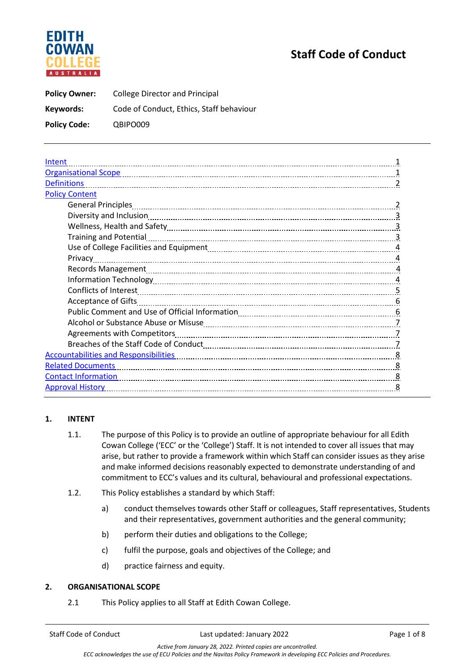# EDITH **AUSTRALIA**

# **Staff Code of Conduct**

**Policy Owner:** College Director and Principal **Keywords:** Code of Conduct, Ethics, Staff behaviour **Policy Code:** QBIPO009

| Intent                                                                                                          |   |
|-----------------------------------------------------------------------------------------------------------------|---|
| Organisational Scope [11] [12] Corporation of the Scope [12] Corporation Corporation Corporation of the Scope [ |   |
| <b>Definitions</b>                                                                                              |   |
| <b>Policy Content</b>                                                                                           |   |
|                                                                                                                 |   |
|                                                                                                                 | 3 |
|                                                                                                                 | 3 |
|                                                                                                                 |   |
|                                                                                                                 | 4 |
| Privacy                                                                                                         | 4 |
|                                                                                                                 |   |
|                                                                                                                 |   |
|                                                                                                                 | 5 |
|                                                                                                                 | 6 |
|                                                                                                                 |   |
|                                                                                                                 |   |
|                                                                                                                 |   |
|                                                                                                                 |   |
| <b>Accountabilities and Responsibilities</b>                                                                    | 8 |
| <b>Related Documents</b>                                                                                        | 8 |
| <b>Contact Information</b>                                                                                      | 8 |
| <b>Approval History</b>                                                                                         | 8 |

# **1. INTENT**

- 1.1. The purpose of this Policy is to provide an outline of appropriate behaviour for all Edith Cowan College ('ECC' or the 'College') Staff. It is not intended to cover all issues that may arise, but rather to provide a framework within which Staff can consider issues as they arise and make informed decisions reasonably expected to demonstrate understanding of and commitment to ECC's values and its cultural, behavioural and professional expectations.
- 1.2. This Policy establishes a standard by which Staff:
	- a) conduct themselves towards other Staff or colleagues, Staff representatives, Students and their representatives, government authorities and the general community;
	- b) perform their duties and obligations to the College;
	- c) fulfil the purpose, goals and objectives of the College; and
	- d) practice fairness and equity.

#### **2. ORGANISATIONAL SCOPE**

2.1 This Policy applies to all Staff at Edith Cowan College.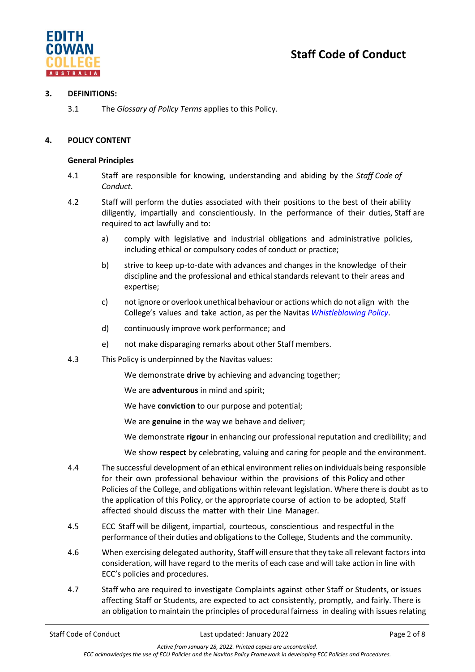



# **3. DEFINITIONS:**

3.1 The *Glossary of Policy Terms* applies to this Policy.

# **4. POLICY CONTENT**

# **General Principles**

- 4.1 Staff are responsible for knowing, understanding and abiding by the *Staff Code of Conduct*.
- 4.2 Staff will perform the duties associated with their positions to the best of their ability diligently, impartially and conscientiously. In the performance of their duties, Staff are required to act lawfully and to:
	- a) comply with legislative and industrial obligations and administrative policies, including ethical or compulsory codes of conduct or practice;
	- b) strive to keep up-to-date with advances and changes in the knowledge of their discipline and the professional and ethical standards relevant to their areas and expertise;
	- c) not ignore or overlook unethical behaviour or actions which do not align with the College's values and take action, as per the Navitas *[Whistleblowing Policy](https://navitas.sharepoint.com/sites/CDMS/Published/Whistleblowing%20Policy.pdf)*.
	- d) continuously improve work performance; and
	- e) not make disparaging remarks about other Staff members.
- 4.3 This Policy is underpinned by the Navitas values:

We demonstrate **drive** by achieving and advancing together;

- We are **adventurous** in mind and spirit;
- We have **conviction** to our purpose and potential;
- We are **genuine** in the way we behave and deliver;
- We demonstrate **rigour** in enhancing our professional reputation and credibility; and
- We show **respect** by celebrating, valuing and caring for people and the environment.
- 4.4 The successful development of an ethical environmentrelies on individuals being responsible for their own professional behaviour within the provisions of this Policy and other Policies of the College, and obligations within relevant legislation. Where there is doubt asto the application of this Policy, or the appropriate course of action to be adopted, Staff affected should discuss the matter with their Line Manager.
- 4.5 ECC Staff will be diligent, impartial, courteous, conscientious and respectful in the performance of their duties and obligations to the College, Students and the community.
- 4.6 When exercising delegated authority, Staff will ensure that they take all relevant factors into consideration, will have regard to the merits of each case and will take action in line with ECC's policies and procedures.
- 4.7 Staff who are required to investigate Complaints against other Staff or Students, or issues affecting Staff or Students, are expected to act consistently, promptly, and fairly. There is an obligation to maintain the principles of procedural fairness in dealing with issues relating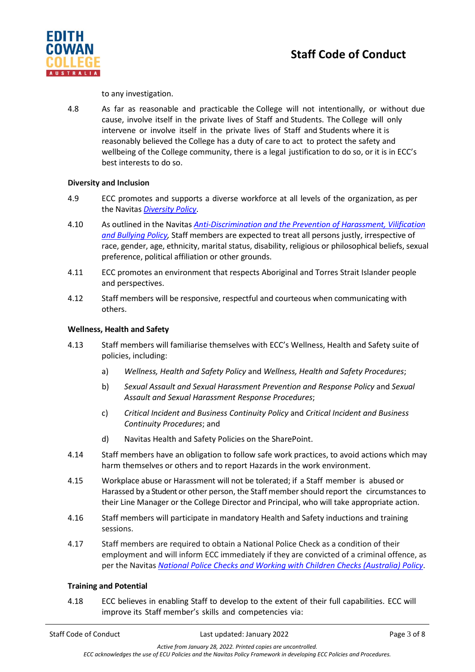

to any investigation.

4.8 As far as reasonable and practicable the College will not intentionally, or without due cause, involve itself in the private lives of Staff and Students. The College will only intervene or involve itself in the private lives of Staff and Students where it is reasonably believed the College has a duty of care to act to protect the safety and wellbeing of the College community, there is a legal justification to do so, or it is in ECC's best interests to do so.

# **Diversity and Inclusion**

- 4.9 ECC promotes and supports a diverse workforce at all levels of the organization, as per the Navitas *[Diversity Policy](https://navitas.sharepoint.com/sites/CDMS/Published/Diversity%20Policy.pdf)*.
- 4.10 As outlined in the Navitas *[Anti-Discrimination and the Prevention of Harassment, Vilification](https://navitas.sharepoint.com/sites/CDMS/Published/Forms/Policies.aspx)  [and Bullying Policy,](https://navitas.sharepoint.com/sites/CDMS/Published/Forms/Policies.aspx)* Staff members are expected to treat all persons justly, irrespective of race, gender, age, ethnicity, marital status, disability, religious or philosophical beliefs, sexual preference, political affiliation or other grounds.
- 4.11 ECC promotes an environment that respects Aboriginal and Torres Strait Islander people and perspectives.
- 4.12 Staff members will be responsive, respectful and courteous when communicating with others.

# **Wellness, Health and Safety**

- 4.13 Staff members will familiarise themselves with ECC's Wellness, Health and Safety suite of policies, including:
	- a) *Wellness, Health and Safety Policy* and *Wellness, Health and Safety Procedures*;
	- b) *Sexual Assault and Sexual Harassment Prevention and Response Policy* and *Sexual Assault and Sexual Harassment Response Procedures*;
	- c) *Critical Incident and Business Continuity Policy* and *Critical Incident and Business Continuity Procedures*; and
	- d) Navitas Health and Safety Policies on the SharePoint.
- 4.14 Staff members have an obligation to follow safe work practices, to avoid actions which may harm themselves or others and to report Hazards in the work environment.
- 4.15 Workplace abuse or Harassment will not be tolerated; if a Staff member is abused or Harassed by a Student or other person, the Staff membershould report the circumstances to their Line Manager or the College Director and Principal, who will take appropriate action.
- 4.16 Staff members will participate in mandatory Health and Safety inductions and training sessions.
- 4.17 Staff members are required to obtain a National Police Check as a condition of their employment and will inform ECC immediately if they are convicted of a criminal offence, as per the Navitas *[National Police Checks and Working with Children Checks \(Australia\) Policy](https://navitas.sharepoint.com/sites/CDMS/Published/Forms/Policies.aspx)*.

#### **Training and Potential**

4.18 ECC believes in enabling Staff to develop to the extent of their full capabilities. ECC will improve its Staff member's skills and competencies via: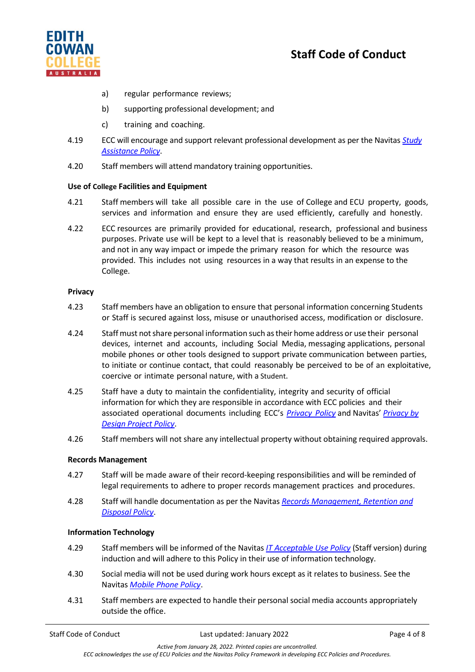

- a) regular performance reviews;
- b) supporting professional development; and
- c) training and coaching.
- 4.19 ECC will encourage and support relevant professional development as per the Navitas *[Study](https://navitas.sharepoint.com/sites/CDMS/Published/Forms/Policies.aspx)  [Assistance Policy](https://navitas.sharepoint.com/sites/CDMS/Published/Forms/Policies.aspx)*.
- 4.20 Staff members will attend mandatory training opportunities.

# **Use of College Facilities and Equipment**

- 4.21 Staff members will take all possible care in the use of College and ECU property, goods, services and information and ensure they are used efficiently, carefully and honestly.
- 4.22 ECC resources are primarily provided for educational, research, professional and business purposes. Private use will be kept to a level that is reasonably believed to be a minimum, and not in any way impact or impede the primary reason for which the resource was provided. This includes not using resources in a way that results in an expense to the College.

#### **Privacy**

- 4.23 Staff members have an obligation to ensure that personal information concerning Students or Staff is secured against loss, misuse or unauthorised access, modification or disclosure.
- 4.24 Staffmust notshare personal information such astheir home address or use their personal devices, internet and accounts, including Social Media, messaging applications, personal mobile phones or other tools designed to support private communication between parties, to initiate or continue contact, that could reasonably be perceived to be of an exploitative, coercive or intimate personal nature, with a Student.
- 4.25 Staff have a duty to maintain the confidentiality, integrity and security of official information for which they are responsible in accordance with ECC policies and their associated operational documents including ECC's *[Privacy](https://www.edithcowancollege.edu.au/policies) Policy* and Navitas' *[Privacy](https://navitas.sharepoint.com/sites/CDMS/Published/Forms/Policies.aspx) by Design Project Policy*.
- 4.26 Staff members will not share any intellectual property without obtaining required approvals.

# **Records Management**

- 4.27 Staff will be made aware of their record-keeping responsibilities and will be reminded of legal requirements to adhere to proper records management practices and procedures.
- 4.28 Staff will handle documentation as per the Navitas *Records [Management, Retention and](https://navitas.sharepoint.com/sites/CDMS/Published/Forms/Policies.aspx)  [Disposal](https://navitas.sharepoint.com/sites/CDMS/Published/Forms/Policies.aspx) Policy*.

#### **Information Technology**

- 4.29 Staff members will be informed of the Navitas *[IT Acceptable Use Policy](https://navitas.sharepoint.com/sites/CDMS/Published/Forms/Policies.aspx)* (Staff version) during induction and will adhere to this Policy in their use of information technology.
- 4.30 Social media will not be used during work hours except as it relates to business. See the Navitas *[Mobile Phone Policy](https://navitas.sharepoint.com/sites/CDMS/Published/Forms/Policies.aspx)*.
- 4.31 Staff members are expected to handle their personal social media accounts appropriately outside the office.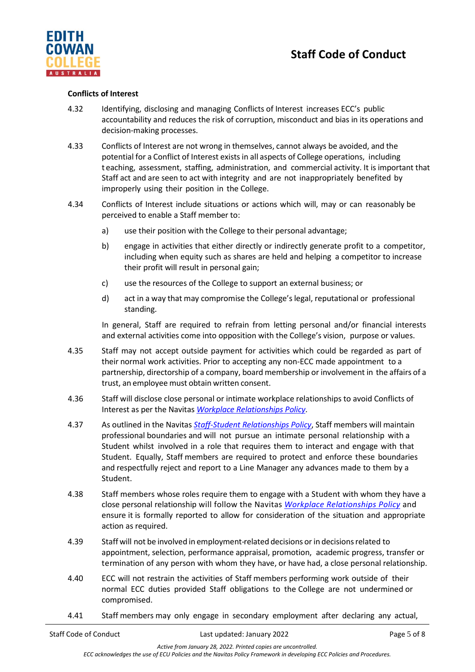

# **Conflicts of Interest**

- 4.32 Identifying, disclosing and managing Conflicts of Interest increases ECC's public accountability and reduces the risk of corruption, misconduct and bias in its operations and decision-making processes.
- 4.33 Conflicts of Interest are not wrong in themselves, cannot always be avoided, and the potential for a Conflict of Interest exists in all aspects of College operations, including t eaching, assessment, staffing, administration, and commercial activity. It is important that Staff act and are seen to act with integrity and are not inappropriately benefited by improperly using their position in the College.
- 4.34 Conflicts of Interest include situations or actions which will, may or can reasonably be perceived to enable a Staff member to:
	- a) use their position with the College to their personal advantage;
	- b) engage in activities that either directly or indirectly generate profit to a competitor, including when equity such as shares are held and helping a competitor to increase their profit will result in personal gain;
	- c) use the resources of the College to support an external business; or
	- d) act in a way that may compromise the College's legal, reputational or professional standing.

In general, Staff are required to refrain from letting personal and/or financial interests and external activities come into opposition with the College's vision, purpose or values.

- 4.35 Staff may not accept outside payment for activities which could be regarded as part of their normal work activities. Prior to accepting any non-ECC made appointment to a partnership, directorship of a company, board membership or involvement in the affairs of a trust, an employee must obtain written consent.
- 4.36 Staff will disclose close personal or intimate workplace relationships to avoid Conflicts of Interest as per the Navitas *[Workplace Relationships Policy](https://navitas.sharepoint.com/sites/CDMS/Published/Forms/Policies.aspx)*.
- 4.37 As outlined in the Navitas *[Staff-Student Relationships Policy](https://navitas.sharepoint.com/sites/CDMS/Published/Forms/Policies.aspx)*, Staff members will maintain professional boundaries and will not pursue an intimate personal relationship with a Student whilst involved in a role that requires them to interact and engage with that Student. Equally, Staff members are required to protect and enforce these boundaries and respectfully reject and report to a Line Manager any advances made to them by a Student.
- 4.38 Staff members whose roles require them to engage with a Student with whom they have a close personal relationship will follow the Navitas *[Workplace Relationships Policy](https://asic.gov.au/for-business/running-a-company/company-officeholder-duties/director-identification-number/#faq2https://navitas.sharepoint.com/sites/CDMS/Published/Forms/Policies.aspx)* and ensure it is formally reported to allow for consideration of the situation and appropriate action as required.
- 4.39 Staff will not be involved in employment-related decisions orin decisionsrelated to appointment, selection, performance appraisal, promotion, academic progress, transfer or termination of any person with whom they have, or have had, a close personal relationship.
- 4.40 ECC will not restrain the activities of Staff members performing work outside of their normal ECC duties provided Staff obligations to the College are not undermined or compromised.
- 4.41 Staff members may only engage in secondary employment after declaring any actual,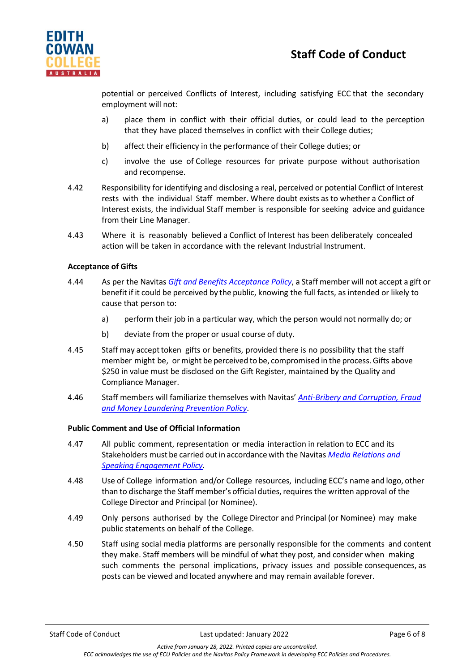

potential or perceived Conflicts of Interest, including satisfying ECC that the secondary employment will not:

- a) place them in conflict with their official duties, or could lead to the perception that they have placed themselves in conflict with their College duties;
- b) affect their efficiency in the performance of their College duties; or
- c) involve the use of College resources for private purpose without authorisation and recompense.
- 4.42 Responsibility for identifying and disclosing a real, perceived or potential Conflict of Interest rests with the individual Staff member. Where doubt exists as to whether a Conflict of Interest exists, the individual Staff member is responsible for seeking advice and guidance from their Line Manager.
- 4.43 Where it is reasonably believed a Conflict of Interest has been deliberately concealed action will be taken in accordance with the relevant Industrial Instrument.

# **Acceptance of Gifts**

- 4.44 As per the Navitas *[Gift and Benefits Acceptance Policy](https://navitas.sharepoint.com/sites/CDMS/Published/Forms/Policies.aspx)*, a Staff member will not accept a gift or benefit if it could be perceived by the public, knowing the full facts, as intended or likely to cause that person to:
	- a) perform their job in a particular way, which the person would not normally do; or
	- b) deviate from the proper or usual course of duty.
- 4.45 Staff may accept token gifts or benefits, provided there is no possibility that the staff member might be, or might be perceived to be, compromised in the process.Gifts above \$250 in value must be disclosed on the Gift Register, maintained by the Quality and Compliance Manager.
- 4.46 Staff members will familiarize themselves with Navitas' *[Anti-Bribery and Corruption, Fraud](https://navitas.sharepoint.com/sites/CDMS/Published/Forms/Policies.aspx)  [and Money Laundering Prevention Policy](https://navitas.sharepoint.com/sites/CDMS/Published/Forms/Policies.aspx)*.

#### **Public Comment and Use of Official Information**

- 4.47 All public comment, representation or media interaction in relation to ECC and its Stakeholders must be carried outin accordance with the Navitas *[Media Relations and](https://navitas.sharepoint.com/sites/CDMS/Published/Forms/Policies.aspx)  [Speaking Engagement Policy](https://navitas.sharepoint.com/sites/CDMS/Published/Forms/Policies.aspx)*.
- 4.48 Use of College information and/or College resources, including ECC's name and logo, other than to discharge the Staff member's official duties, requires the written approval of the College Director and Principal (or Nominee).
- 4.49 Only persons authorised by the College Director and Principal (or Nominee) may make public statements on behalf of the College.
- 4.50 Staff using social media platforms are personally responsible for the comments and content they make. Staff members will be mindful of what they post, and consider when making such comments the personal implications, privacy issues and possible consequences, as posts can be viewed and located anywhere and may remain available forever.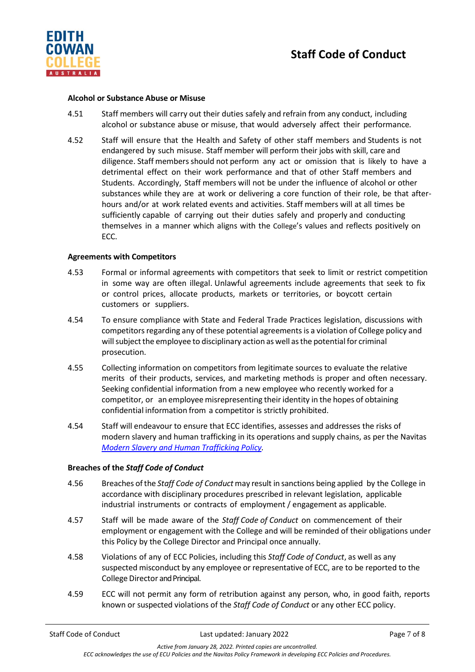

#### **Alcohol or Substance Abuse or Misuse**

- 4.51 Staff members will carry out their duties safely and refrain from any conduct, including alcohol or substance abuse or misuse, that would adversely affect their performance*.*
- 4.52 Staff will ensure that the Health and Safety of other staff members and Students is not endangered by such misuse. Staff member will perform their jobs with skill, care and diligence. Staff members should not perform any act or omission that is likely to have a detrimental effect on their work performance and that of other Staff members and Students. Accordingly, Staff members will not be under the influence of alcohol or other substances while they are at work or delivering a core function of their role, be that afterhours and/or at work related events and activities. Staff members will at all times be sufficiently capable of carrying out their duties safely and properly and conducting themselves in a manner which aligns with the College's values and reflects positively on ECC.

# **Agreements with Competitors**

- 4.53 Formal or informal agreements with competitors that seek to limit or restrict competition in some way are often illegal. Unlawful agreements include agreements that seek to fix or control prices, allocate products, markets or territories, or boycott certain customers or suppliers.
- 4.54 To ensure compliance with State and Federal Trade Practices legislation, discussions with competitors regarding any of these potential agreements is a violation of College policy and will subject the employee to disciplinary action as well as the potential for criminal prosecution.
- 4.55 Collecting information on competitors from legitimate sources to evaluate the relative merits of their products, services, and marketing methods is proper and often necessary. Seeking confidential information from a new employee who recently worked for a competitor, or an employee misrepresenting their identity in the hopes of obtaining confidential information from a competitor is strictly prohibited.
- 4.54 Staff will endeavour to ensure that ECC identifies, assesses and addresses the risks of modern slavery and human trafficking in its operations and supply chains, as per the Navitas *[Modern Slavery and Human Trafficking Policy.](https://navitas.sharepoint.com/sites/CDMS/Published/Forms/Policies.aspx)*

# **Breaches of the** *Staff Code of Conduct*

- 4.56 Breaches ofthe *Staff Code of Conduct*may result in sanctions being applied by the College in accordance with disciplinary procedures prescribed in relevant legislation, applicable industrial instruments or contracts of employment / engagement as applicable.
- 4.57 Staff will be made aware of the *Staff Code of Conduct* on commencement of their employment or engagement with the College and will be reminded of their obligations under this Policy by the College Director and Principal once annually.
- 4.58 Violations of any of ECC Policies, including this *Staff Code of Conduct*, as well as any suspected misconduct by any employee or representative of ECC, are to be reported to the College Director and Principal.
- 4.59 ECC will not permit any form of retribution against any person, who, in good faith, reports known or suspected violations of the *Staff Code of Conduct* or any other ECC policy.